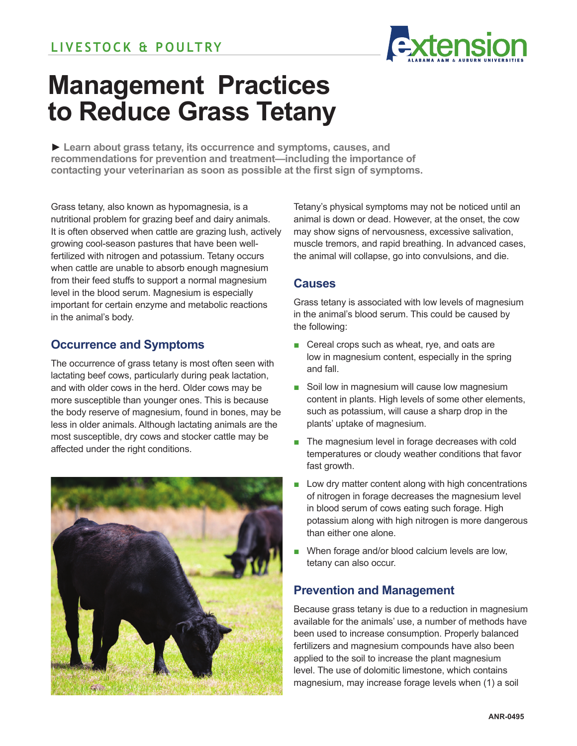

# **Management Practices to Reduce Grass Tetany**

**► Learn about grass tetany, its occurrence and symptoms, causes, and recommendations for prevention and treatment—including the importance of contacting your veterinarian as soon as possible at the first sign of symptoms.** 

Grass tetany, also known as hypomagnesia, is a nutritional problem for grazing beef and dairy animals. It is often observed when cattle are grazing lush, actively growing cool-season pastures that have been wellfertilized with nitrogen and potassium. Tetany occurs when cattle are unable to absorb enough magnesium from their feed stuffs to support a normal magnesium level in the blood serum. Magnesium is especially important for certain enzyme and metabolic reactions in the animal's body.

## **Occurrence and Symptoms**

The occurrence of grass tetany is most often seen with lactating beef cows, particularly during peak lactation, and with older cows in the herd. Older cows may be more susceptible than younger ones. This is because the body reserve of magnesium, found in bones, may be less in older animals. Although lactating animals are the most susceptible, dry cows and stocker cattle may be affected under the right conditions.



Tetany's physical symptoms may not be noticed until an animal is down or dead. However, at the onset, the cow may show signs of nervousness, excessive salivation, muscle tremors, and rapid breathing. In advanced cases, the animal will collapse, go into convulsions, and die.

### **Causes**

Grass tetany is associated with low levels of magnesium in the animal's blood serum. This could be caused by the following:

- Cereal crops such as wheat, rye, and oats are low in magnesium content, especially in the spring and fall.
- Soil low in magnesium will cause low magnesium content in plants. High levels of some other elements, such as potassium, will cause a sharp drop in the plants' uptake of magnesium.
- The magnesium level in forage decreases with cold temperatures or cloudy weather conditions that favor fast growth.
- Low dry matter content along with high concentrations of nitrogen in forage decreases the magnesium level in blood serum of cows eating such forage. High potassium along with high nitrogen is more dangerous than either one alone.
- When forage and/or blood calcium levels are low, tetany can also occur.

## **Prevention and Management**

Because grass tetany is due to a reduction in magnesium available for the animals' use, a number of methods have been used to increase consumption. Properly balanced fertilizers and magnesium compounds have also been applied to the soil to increase the plant magnesium level. The use of dolomitic limestone, which contains magnesium, may increase forage levels when (1) a soil